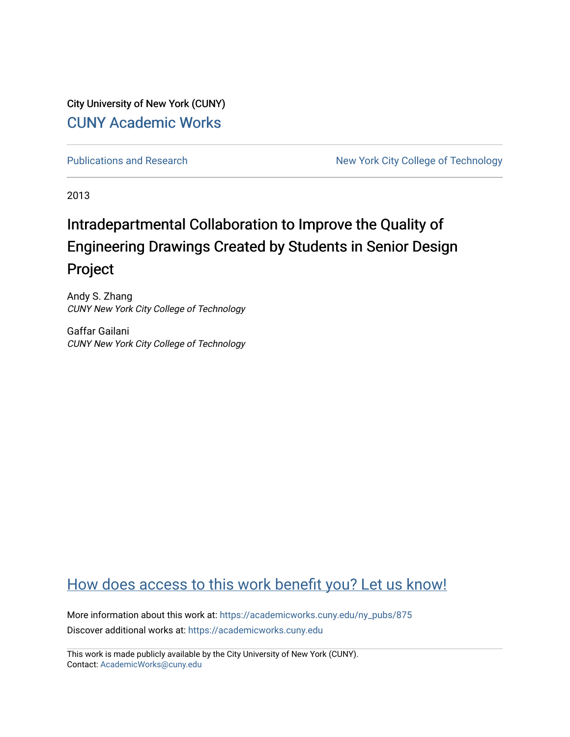City University of New York (CUNY) [CUNY Academic Works](https://academicworks.cuny.edu/) 

[Publications and Research](https://academicworks.cuny.edu/ny_pubs) New York City College of Technology

2013

# Intradepartmental Collaboration to Improve the Quality of Engineering Drawings Created by Students in Senior Design Project

Andy S. Zhang CUNY New York City College of Technology

Gaffar Gailani CUNY New York City College of Technology

## [How does access to this work benefit you? Let us know!](http://ols.cuny.edu/academicworks/?ref=https://academicworks.cuny.edu/ny_pubs/875)

More information about this work at: [https://academicworks.cuny.edu/ny\\_pubs/875](https://academicworks.cuny.edu/ny_pubs/875)  Discover additional works at: [https://academicworks.cuny.edu](https://academicworks.cuny.edu/?)

This work is made publicly available by the City University of New York (CUNY). Contact: [AcademicWorks@cuny.edu](mailto:AcademicWorks@cuny.edu)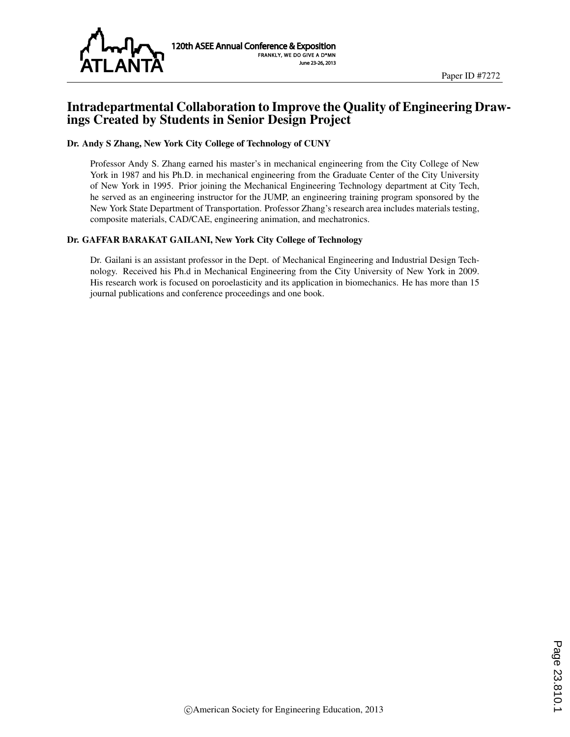

#### Intradepartmental Collaboration to Improve the Quality of Engineering Drawings Created by Students in Senior Design Project

#### Dr. Andy S Zhang, New York City College of Technology of CUNY

Professor Andy S. Zhang earned his master's in mechanical engineering from the City College of New York in 1987 and his Ph.D. in mechanical engineering from the Graduate Center of the City University of New York in 1995. Prior joining the Mechanical Engineering Technology department at City Tech, he served as an engineering instructor for the JUMP, an engineering training program sponsored by the New York State Department of Transportation. Professor Zhang's research area includes materials testing, composite materials, CAD/CAE, engineering animation, and mechatronics.

#### Dr. GAFFAR BARAKAT GAILANI, New York City College of Technology

Dr. Gailani is an assistant professor in the Dept. of Mechanical Engineering and Industrial Design Technology. Received his Ph.d in Mechanical Engineering from the City University of New York in 2009. His research work is focused on poroelasticity and its application in biomechanics. He has more than 15 journal publications and conference proceedings and one book.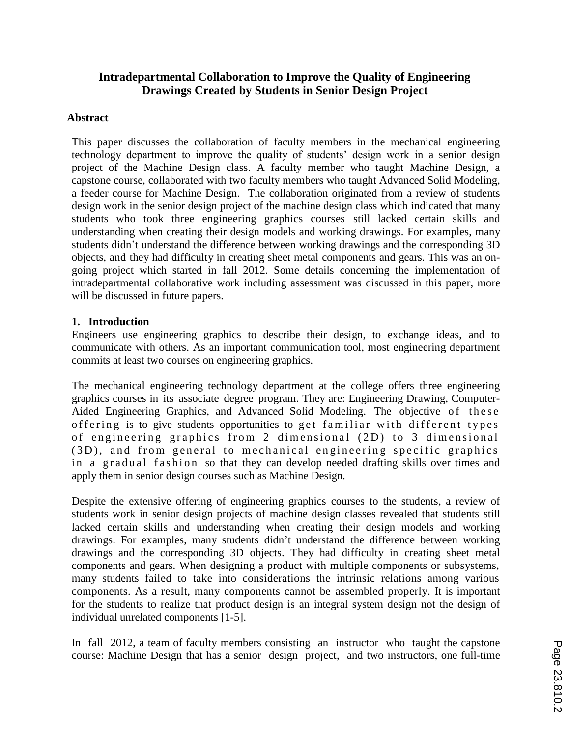## **Intradepartmental Collaboration to Improve the Quality of Engineering Drawings Created by Students in Senior Design Project**

#### **Abstract**

This paper discusses the collaboration of faculty members in the mechanical engineering technology department to improve the quality of students' design work in a senior design project of the Machine Design class. A faculty member who taught Machine Design, a capstone course, collaborated with two faculty members who taught Advanced Solid Modeling, a feeder course for Machine Design. The collaboration originated from a review of students design work in the senior design project of the machine design class which indicated that many students who took three engineering graphics courses still lacked certain skills and understanding when creating their design models and working drawings. For examples, many students didn't understand the difference between working drawings and the corresponding 3D objects, and they had difficulty in creating sheet metal components and gears. This was an ongoing project which started in fall 2012. Some details concerning the implementation of intradepartmental collaborative work including assessment was discussed in this paper, more will be discussed in future papers.

#### **1. Introduction**

Engineers use engineering graphics to describe their design, to exchange ideas, and to communicate with others. As an important communication tool, most engineering department commits at least two courses on engineering graphics.

The mechanical engineering technology department at the college offers three engineering graphics courses in its associate degree program. They are: Engineering Drawing, Computer-Aided Engineering Graphics, and Advanced Solid Modeling. The objective of these offering is to give students opportunities to get familiar with different types of engineering graphics from 2 dimensional (2D) to 3 dimensional (3D), and from general to mechanical engineering specific graphics in a gradual fashion so that they can develop needed drafting skills over times and apply them in senior design courses such as Machine Design.

Despite the extensive offering of engineering graphics courses to the students, a review of students work in senior design projects of machine design classes revealed that students still lacked certain skills and understanding when creating their design models and working drawings. For examples, many students didn't understand the difference between working drawings and the corresponding 3D objects. They had difficulty in creating sheet metal components and gears. When designing a product with multiple components or subsystems, many students failed to take into considerations the intrinsic relations among various components. As a result, many components cannot be assembled properly. It is important for the students to realize that product design is an integral system design not the design of individual unrelated components [1-5].

In fall 2012, a team of faculty members consisting an instructor who taught the capstone course: Machine Design that has a senior design project, and two instructors, one full-time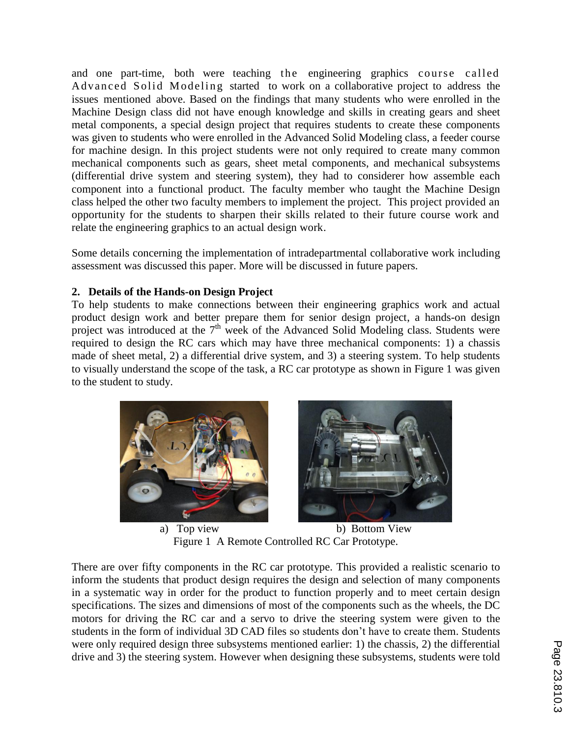and one part-time, both were teaching the engineering graphics course called Advanced Solid Modeling started to work on a collaborative project to address the issues mentioned above. Based on the findings that many students who were enrolled in the Machine Design class did not have enough knowledge and skills in creating gears and sheet metal components, a special design project that requires students to create these components was given to students who were enrolled in the Advanced Solid Modeling class, a feeder course for machine design. In this project students were not only required to create many common mechanical components such as gears, sheet metal components, and mechanical subsystems (differential drive system and steering system), they had to considerer how assemble each component into a functional product. The faculty member who taught the Machine Design class helped the other two faculty members to implement the project. This project provided an opportunity for the students to sharpen their skills related to their future course work and relate the engineering graphics to an actual design work.

Some details concerning the implementation of intradepartmental collaborative work including assessment was discussed this paper. More will be discussed in future papers.

#### **2. Details of the Hands-on Design Project**

To help students to make connections between their engineering graphics work and actual product design work and better prepare them for senior design project, a hands-on design project was introduced at the  $7<sup>th</sup>$  week of the Advanced Solid Modeling class. Students were required to design the RC cars which may have three mechanical components: 1) a chassis made of sheet metal, 2) a differential drive system, and 3) a steering system. To help students to visually understand the scope of the task, a RC car prototype as shown in Figure 1 was given to the student to study.





a) Top view b) Bottom View Figure 1 A Remote Controlled RC Car Prototype.

There are over fifty components in the RC car prototype. This provided a realistic scenario to inform the students that product design requires the design and selection of many components in a systematic way in order for the product to function properly and to meet certain design specifications. The sizes and dimensions of most of the components such as the wheels, the DC motors for driving the RC car and a servo to drive the steering system were given to the students in the form of individual 3D CAD files so students don't have to create them. Students were only required design three subsystems mentioned earlier: 1) the chassis, 2) the differential drive and 3) the steering system. However when designing these subsystems, students were told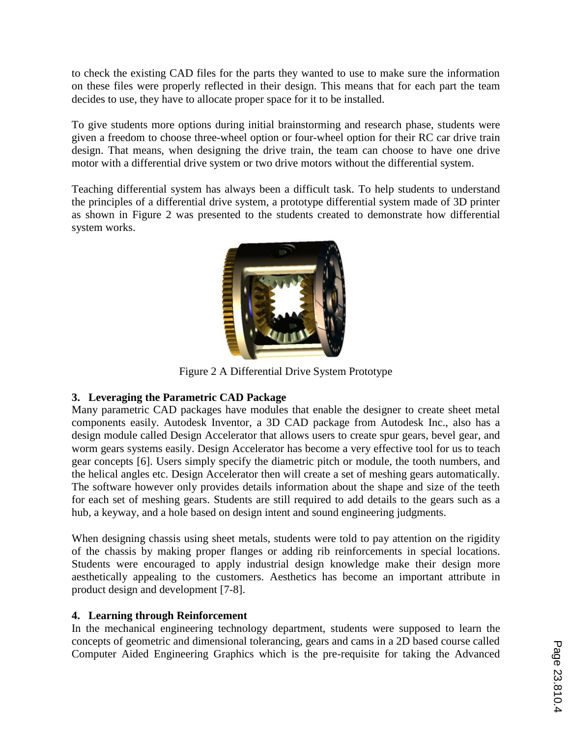to check the existing CAD files for the parts they wanted to use to make sure the information on these files were properly reflected in their design. This means that for each part the team decides to use, they have to allocate proper space for it to be installed.

To give students more options during initial brainstorming and research phase, students were given a freedom to choose three-wheel option or four-wheel option for their RC car drive train design. That means, when designing the drive train, the team can choose to have one drive motor with a differential drive system or two drive motors without the differential system.

Teaching differential system has always been a difficult task. To help students to understand the principles of a differential drive system, a prototype differential system made of 3D printer as shown in Figure 2 was presented to the students created to demonstrate how differential system works.



Figure 2 A Differential Drive System Prototype

#### **3. Leveraging the Parametric CAD Package**

Many parametric CAD packages have modules that enable the designer to create sheet metal components easily. Autodesk Inventor, a 3D CAD package from Autodesk Inc., also has a design module called Design Accelerator that allows users to create spur gears, bevel gear, and worm gears systems easily. Design Accelerator has become a very effective tool for us to teach gear concepts [6]. Users simply specify the diametric pitch or module, the tooth numbers, and the helical angles etc. Design Accelerator then will create a set of meshing gears automatically. The software however only provides details information about the shape and size of the teeth for each set of meshing gears. Students are still required to add details to the gears such as a hub, a keyway, and a hole based on design intent and sound engineering judgments.

When designing chassis using sheet metals, students were told to pay attention on the rigidity of the chassis by making proper flanges or adding rib reinforcements in special locations. Students were encouraged to apply industrial design knowledge make their design more aesthetically appealing to the customers. Aesthetics has become an important attribute in product design and development [7-8].

#### **4. Learning through Reinforcement**

In the mechanical engineering technology department, students were supposed to learn the concepts of geometric and dimensional tolerancing, gears and cams in a 2D based course called Computer Aided Engineering Graphics which is the pre-requisite for taking the Advanced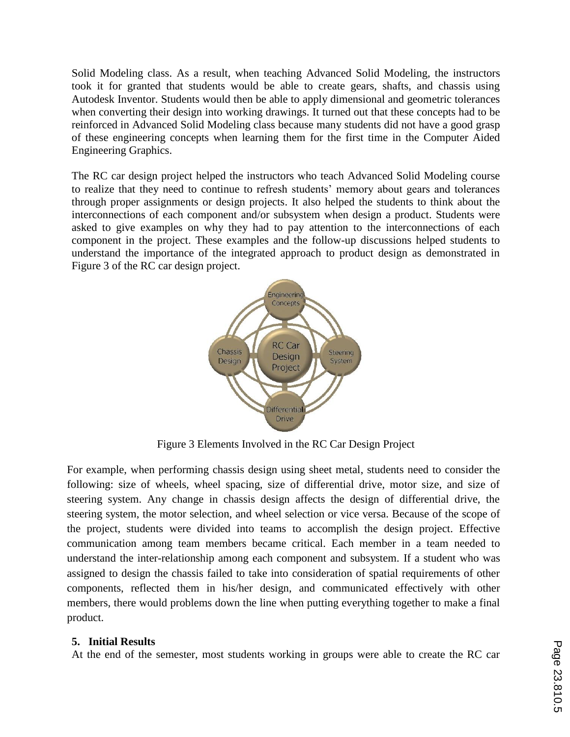Solid Modeling class. As a result, when teaching Advanced Solid Modeling, the instructors took it for granted that students would be able to create gears, shafts, and chassis using Autodesk Inventor. Students would then be able to apply dimensional and geometric tolerances when converting their design into working drawings. It turned out that these concepts had to be reinforced in Advanced Solid Modeling class because many students did not have a good grasp of these engineering concepts when learning them for the first time in the Computer Aided Engineering Graphics.

The RC car design project helped the instructors who teach Advanced Solid Modeling course to realize that they need to continue to refresh students' memory about gears and tolerances through proper assignments or design projects. It also helped the students to think about the interconnections of each component and/or subsystem when design a product. Students were asked to give examples on why they had to pay attention to the interconnections of each component in the project. These examples and the follow-up discussions helped students to understand the importance of the integrated approach to product design as demonstrated in Figure 3 of the RC car design project.



Figure 3 Elements Involved in the RC Car Design Project

For example, when performing chassis design using sheet metal, students need to consider the following: size of wheels, wheel spacing, size of differential drive, motor size, and size of steering system. Any change in chassis design affects the design of differential drive, the steering system, the motor selection, and wheel selection or vice versa. Because of the scope of the project, students were divided into teams to accomplish the design project. Effective communication among team members became critical. Each member in a team needed to understand the inter-relationship among each component and subsystem. If a student who was assigned to design the chassis failed to take into consideration of spatial requirements of other components, reflected them in his/her design, and communicated effectively with other members, there would problems down the line when putting everything together to make a final product.

#### **5. Initial Results**

At the end of the semester, most students working in groups were able to create the RC car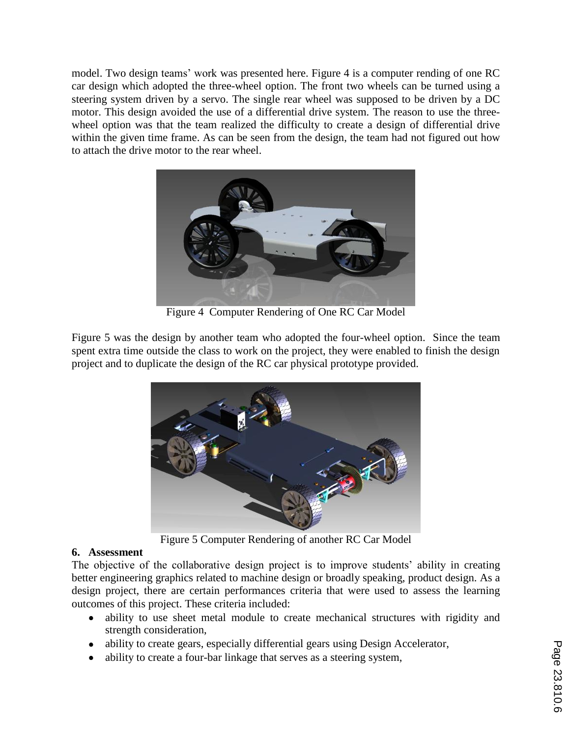model. Two design teams' work was presented here. Figure 4 is a computer rending of one RC car design which adopted the three-wheel option. The front two wheels can be turned using a steering system driven by a servo. The single rear wheel was supposed to be driven by a DC motor. This design avoided the use of a differential drive system. The reason to use the threewheel option was that the team realized the difficulty to create a design of differential drive within the given time frame. As can be seen from the design, the team had not figured out how to attach the drive motor to the rear wheel.



Figure 4 Computer Rendering of One RC Car Model

Figure 5 was the design by another team who adopted the four-wheel option. Since the team spent extra time outside the class to work on the project, they were enabled to finish the design project and to duplicate the design of the RC car physical prototype provided.



Figure 5 Computer Rendering of another RC Car Model

## **6. Assessment**

The objective of the collaborative design project is to improve students' ability in creating better engineering graphics related to machine design or broadly speaking, product design. As a design project, there are certain performances criteria that were used to assess the learning outcomes of this project. These criteria included:

- ability to use sheet metal module to create mechanical structures with rigidity and strength consideration,
- ability to create gears, especially differential gears using Design Accelerator,  $\bullet$
- ability to create a four-bar linkage that serves as a steering system,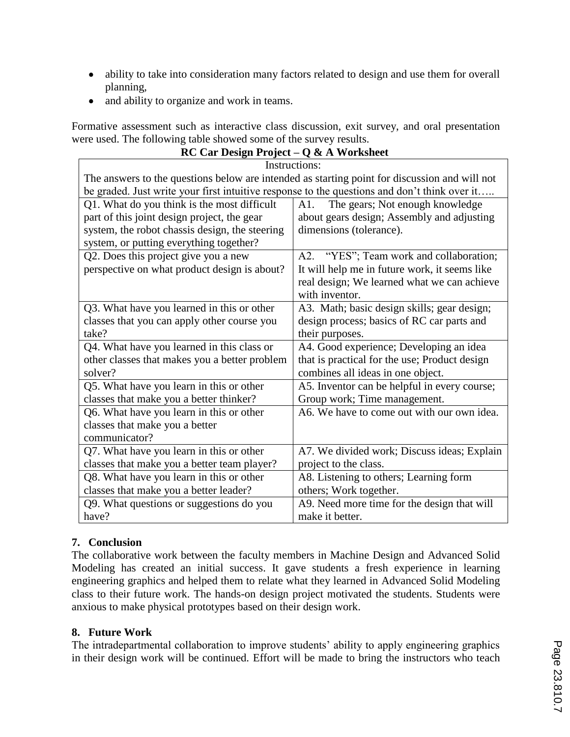- ability to take into consideration many factors related to design and use them for overall  $\bullet$ planning,
- and ability to organize and work in teams.  $\bullet$

Formative assessment such as interactive class discussion, exit survey, and oral presentation were used. The following table showed some of the survey results.

| RC Car Design Project – Q & A Worksheet                                                       |                                               |
|-----------------------------------------------------------------------------------------------|-----------------------------------------------|
| Instructions:                                                                                 |                                               |
| The answers to the questions below are intended as starting point for discussion and will not |                                               |
| be graded. Just write your first intuitive response to the questions and don't think over it  |                                               |
| Q1. What do you think is the most difficult                                                   | The gears; Not enough knowledge<br>A1.        |
| part of this joint design project, the gear                                                   | about gears design; Assembly and adjusting    |
| system, the robot chassis design, the steering                                                | dimensions (tolerance).                       |
| system, or putting everything together?                                                       |                                               |
| Q2. Does this project give you a new                                                          | A2. "YES"; Team work and collaboration;       |
| perspective on what product design is about?                                                  | It will help me in future work, it seems like |
|                                                                                               | real design; We learned what we can achieve   |
|                                                                                               | with inventor.                                |
| Q3. What have you learned in this or other                                                    | A3. Math; basic design skills; gear design;   |
| classes that you can apply other course you                                                   | design process; basics of RC car parts and    |
| take?                                                                                         | their purposes.                               |
| Q4. What have you learned in this class or                                                    | A4. Good experience; Developing an idea       |
| other classes that makes you a better problem                                                 | that is practical for the use; Product design |
| solver?                                                                                       | combines all ideas in one object.             |
| Q5. What have you learn in this or other                                                      | A5. Inventor can be helpful in every course;  |
| classes that make you a better thinker?                                                       | Group work; Time management.                  |
| Q6. What have you learn in this or other                                                      | A6. We have to come out with our own idea.    |
| classes that make you a better                                                                |                                               |
| communicator?                                                                                 |                                               |
| Q7. What have you learn in this or other                                                      | A7. We divided work; Discuss ideas; Explain   |
| classes that make you a better team player?                                                   | project to the class.                         |
| Q8. What have you learn in this or other                                                      | A8. Listening to others; Learning form        |
| classes that make you a better leader?                                                        | others; Work together.                        |
| Q9. What questions or suggestions do you                                                      | A9. Need more time for the design that will   |
| have?                                                                                         | make it better.                               |

## **7. Conclusion**

The collaborative work between the faculty members in Machine Design and Advanced Solid Modeling has created an initial success. It gave students a fresh experience in learning engineering graphics and helped them to relate what they learned in Advanced Solid Modeling class to their future work. The hands-on design project motivated the students. Students were anxious to make physical prototypes based on their design work.

#### **8. Future Work**

The intradepartmental collaboration to improve students' ability to apply engineering graphics in their design work will be continued. Effort will be made to bring the instructors who teach